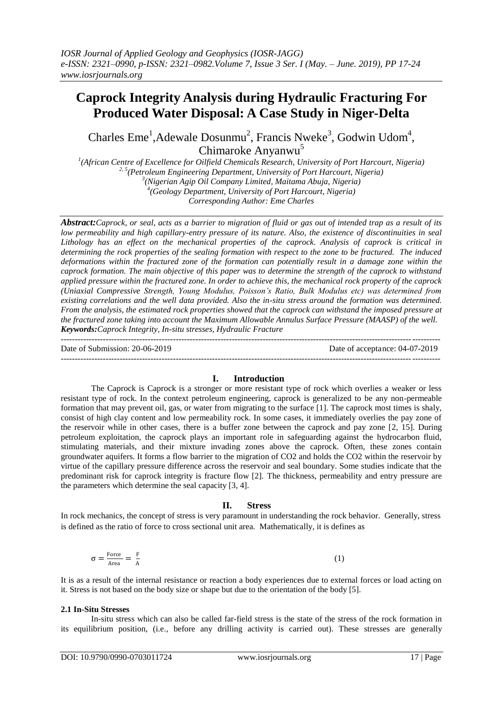# **Caprock Integrity Analysis during Hydraulic Fracturing For Produced Water Disposal: A Case Study in Niger-Delta**

Charles Eme<sup>1</sup>, Adewale Dosunmu<sup>2</sup>, Francis Nweke<sup>3</sup>, Godwin Udom<sup>4</sup>, Chimaroke Anyanwu<sup>5</sup>

 *(African Centre of Excellence for Oilfield Chemicals Research, University of Port Harcourt, Nigeria) 2, 5(Petroleum Engineering Department, University of Port Harcourt, Nigeria) (Nigerian Agip Oil Company Limited, Maitama Abuja, Nigeria) (Geology Department, University of Port Harcourt, Nigeria)*

*Corresponding Author: Eme Charles*

*Abstract:Caprock, or seal, acts as a barrier to migration of fluid or gas out of intended trap as a result of its low permeability and high capillary-entry pressure of its nature. Also, the existence of discontinuities in seal Lithology has an effect on the mechanical properties of the caprock. Analysis of caprock is critical in determining the rock properties of the sealing formation with respect to the zone to be fractured. The induced deformations within the fractured zone of the formation can potentially result in a damage zone within the caprock formation. The main objective of this paper was to determine the strength of the caprock to withstand applied pressure within the fractured zone. In order to achieve this, the mechanical rock property of the caprock (Uniaxial Compressive Strength, Young Modulus, Poisson's Ratio, Bulk Modulus etc) was determined from existing correlations and the well data provided. Also the in-situ stress around the formation was determined. From the analysis, the estimated rock properties showed that the caprock can withstand the imposed pressure at the fractured zone taking into account the Maximum Allowable Annulus Surface Pressure (MAASP) of the well. Keywords:Caprock Integrity, In-situ stresses, Hydraulic Fracture* ---------------------------------------------------------------------------------------------------------------------------------------

Date of Submission: 20-06-2019 Date of acceptance: 04-07-2019 --------------------------------------------------------------------------------------------------------------------------------------*-*

### **I. Introduction**

The Caprock is Caprock is a stronger or more resistant type of rock which overlies a weaker or less resistant type of rock. In the context petroleum engineering, caprock is generalized to be any non-permeable formation that may prevent oil, gas, or water from migrating to the surface [1]. The caprock most times is shaly, consist of high clay content and low permeability rock. In some cases, it immediately overlies the pay zone of the reservoir while in other cases, there is a buffer zone between the caprock and pay zone [2, 15]. During petroleum exploitation, the caprock plays an important role in safeguarding against the hydrocarbon fluid, stimulating materials, and their mixture invading zones above the caprock. Often, these zones contain groundwater aquifers. It forms a flow barrier to the migration of CO2 and holds the CO2 within the reservoir by virtue of the capillary pressure difference across the reservoir and seal boundary. Some studies indicate that the predominant risk for caprock integrity is fracture flow [2]. The thickness, permeability and entry pressure are the parameters which determine the seal capacity [3, 4].

### **II. Stress**

In rock mechanics, the concept of stress is very paramount in understanding the rock behavior. Generally, stress is defined as the ratio of force to cross sectional unit area. Mathematically, it is defines as

$$
\sigma = \frac{\text{Force}}{\text{Area}} = \frac{F}{A}
$$
 (1)

It is as a result of the internal resistance or reaction a body experiences due to external forces or load acting on it. Stress is not based on the body size or shape but due to the orientation of the body [5].

### **2.1 In-Situ Stresses**

In-situ stress which can also be called far-field stress is the state of the stress of the rock formation in its equilibrium position, (i.e., before any drilling activity is carried out). These stresses are generally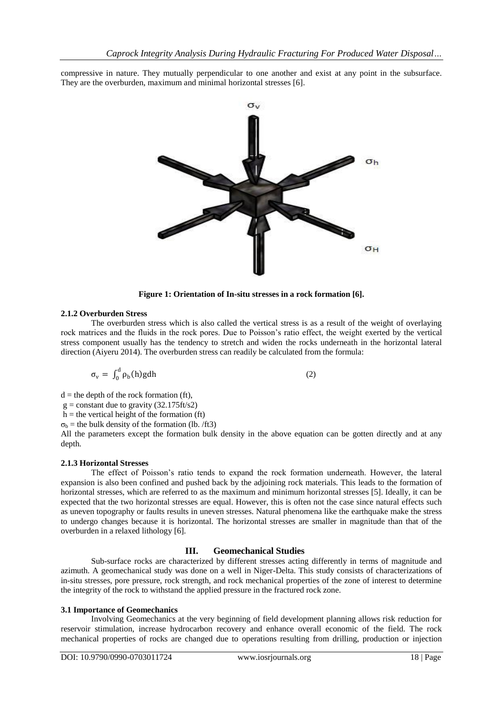compressive in nature. They mutually perpendicular to one another and exist at any point in the subsurface. They are the overburden, maximum and minimal horizontal stresses [6].



**Figure 1: Orientation of In-situ stresses in a rock formation [6].**

### **2.1.2 Overburden Stress**

The overburden stress which is also called the vertical stress is as a result of the weight of overlaying rock matrices and the fluids in the rock pores. Due to Poisson's ratio effect, the weight exerted by the vertical stress component usually has the tendency to stretch and widen the rocks underneath in the horizontal lateral direction (Aiyeru 2014). The overburden stress can readily be calculated from the formula:

$$
\sigma_{\rm v} = \int_0^{\rm d} \rho_{\rm b}(\mathbf{h}) \mathbf{g} \mathrm{d}\mathbf{h} \tag{2}
$$

 $d =$  the depth of the rock formation (ft),

 $g = constant$  due to gravity (32.175ft/s2)

 $h =$  the vertical height of the formation (ft)

 $\sigma_b$  = the bulk density of the formation (lb. /ft3)

All the parameters except the formation bulk density in the above equation can be gotten directly and at any depth.

#### **2.1.3 Horizontal Stresses**

The effect of Poisson's ratio tends to expand the rock formation underneath. However, the lateral expansion is also been confined and pushed back by the adjoining rock materials. This leads to the formation of horizontal stresses, which are referred to as the maximum and minimum horizontal stresses [5]. Ideally, it can be expected that the two horizontal stresses are equal. However, this is often not the case since natural effects such as uneven topography or faults results in uneven stresses. Natural phenomena like the earthquake make the stress to undergo changes because it is horizontal. The horizontal stresses are smaller in magnitude than that of the overburden in a relaxed lithology [6].

### **III. Geomechanical Studies**

Sub-surface rocks are characterized by different stresses acting differently in terms of magnitude and azimuth. A geomechanical study was done on a well in Niger-Delta. This study consists of characterizations of in-situ stresses, pore pressure, rock strength, and rock mechanical properties of the zone of interest to determine the integrity of the rock to withstand the applied pressure in the fractured rock zone.

### **3.1 Importance of Geomechanics**

Involving Geomechanics at the very beginning of field development planning allows risk reduction for reservoir stimulation, increase hydrocarbon recovery and enhance overall economic of the field. The rock mechanical properties of rocks are changed due to operations resulting from drilling, production or injection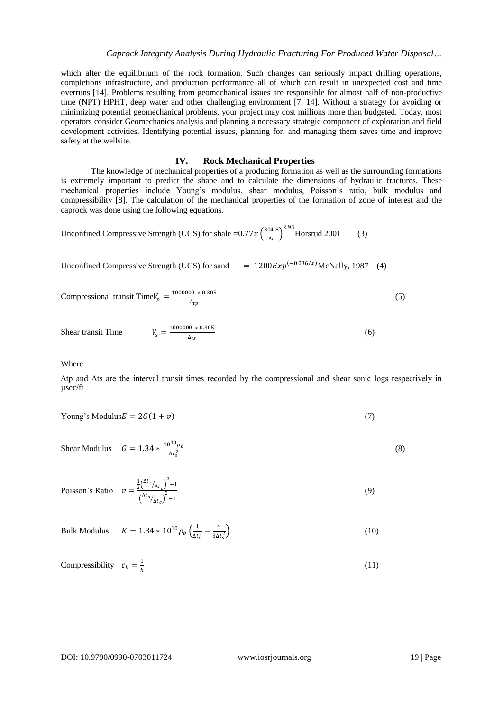which alter the equilibrium of the rock formation. Such changes can seriously impact drilling operations, completions infrastructure, and production performance all of which can result in unexpected cost and time overruns [14]. Problems resulting from geomechanical issues are responsible for almost half of non-productive time (NPT) HPHT, deep water and other challenging environment [7, 14]. Without a strategy for avoiding or minimizing potential geomechanical problems, your project may cost millions more than budgeted. Today, most operators consider Geomechanics analysis and planning a necessary strategic component of exploration and field development activities. Identifying potential issues, planning for, and managing them saves time and improve safety at the wellsite.

### **IV. Rock Mechanical Properties**

The knowledge of mechanical properties of a producing formation as well as the surrounding formations is extremely important to predict the shape and to calculate the dimensions of hydraulic fractures. These mechanical properties include Young's modulus, shear modulus, Poisson's ratio, bulk modulus and compressibility [8]. The calculation of the mechanical properties of the formation of zone of interest and the caprock was done using the following equations.

Unconfined Compressive Strength (UCS) for shale =0.77 $x\left(\frac{304.8}{4t}\right)$  $\frac{04.8}{\Delta t}$ <sup>2.93</sup> Horsrud 2001 (3)

Unconfined Compressive Strength (UCS) for sand  $= 1200 E x p^{(-0.036 \Delta t)}$ McNally, 1987 (4)

Compressional transit Time
$$
V_p = \frac{1000000 \times 0.305}{\Delta_{tp}}
$$
 (5)

Shear transit Time 
$$
V_s = \frac{1000000 \times 0.305}{\Delta_{ts}}
$$
 (6)

Where

Δtp and Δts are the interval transit times recorded by the compressional and shear sonic logs respectively in µsec/ft

$$
Young's Modulus E = 2G(1 + v)
$$
\n(7)

Shear Modulus  $G = 1.34 * \frac{10^{10} \rho_b}{\Delta t^2}$  $\Delta t_s^2$ (8)

Poisson's Ratio 
$$
v = \frac{\frac{1}{2} (\Delta t_s / \Delta t_c)^2 - 1}{(\Delta t_s / \Delta t_c)^2 - 1}
$$
 (9)

Bulk Modulus 
$$
K = 1.34 * 10^{10} \rho_b \left( \frac{1}{\Delta t_c^2} - \frac{4}{3\Delta t_s^2} \right)
$$
 (10)

Compressibility 
$$
c_b = \frac{1}{k}
$$
 (11)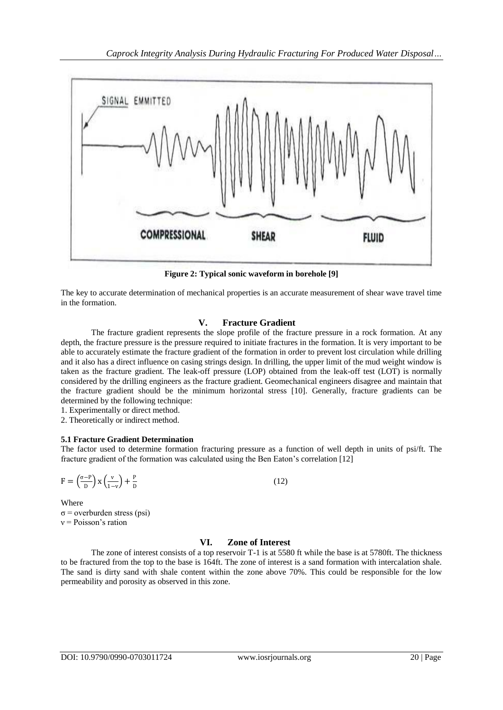

**Figure 2: Typical sonic waveform in borehole [9]**

The key to accurate determination of mechanical properties is an accurate measurement of shear wave travel time in the formation.

### **V. Fracture Gradient**

The fracture gradient represents the slope profile of the fracture pressure in a rock formation. At any depth, the fracture pressure is the pressure required to initiate fractures in the formation. It is very important to be able to accurately estimate the fracture gradient of the formation in order to prevent lost circulation while drilling and it also has a direct influence on casing strings design. In drilling, the upper limit of the mud weight window is taken as the fracture gradient. The leak-off pressure (LOP) obtained from the leak-off test (LOT) is normally considered by the drilling engineers as the fracture gradient. Geomechanical engineers disagree and maintain that the fracture gradient should be the minimum horizontal stress [10]. Generally, fracture gradients can be determined by the following technique:

1. Experimentally or direct method.

2. Theoretically or indirect method.

### **5.1 Fracture Gradient Determination**

The factor used to determine formation fracturing pressure as a function of well depth in units of psi/ft. The fracture gradient of the formation was calculated using the Ben Eaton's correlation [12]

$$
F = \left(\frac{\sigma - P}{D}\right) x \left(\frac{v}{1 - v}\right) + \frac{P}{D}
$$

(12)

Where  $\sigma$  = overburden stress (psi)  $v = Poisson's$  ration

### **VI. Zone of Interest**

The zone of interest consists of a top reservoir T-1 is at 5580 ft while the base is at 5780ft. The thickness to be fractured from the top to the base is 164ft. The zone of interest is a sand formation with intercalation shale. The sand is dirty sand with shale content within the zone above 70%. This could be responsible for the low permeability and porosity as observed in this zone.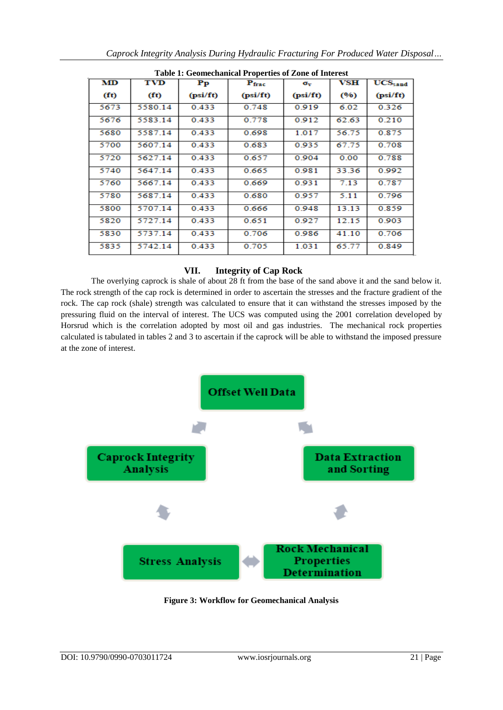| <b>Table 1: Geomechanical Properties of Zone of Interest</b> |                   |            |                |                  |       |                 |  |
|--------------------------------------------------------------|-------------------|------------|----------------|------------------|-------|-----------------|--|
| MD                                                           | <b>TVD</b>        | ${\bf Pp}$ | $P_{\rm frac}$ | $\sigma_{\rm v}$ | VSH   | <b>UCS</b> sand |  |
| (f <sub>t</sub> )                                            | (f <sub>t</sub> ) | (psi/ft)   | (psi/ft)       | (psi/ft)         | (96)  | (psi/ft)        |  |
| 5673                                                         | 5580.14           | 0.433      | 0.748          | 0.919            | 6.02  | 0.326           |  |
| 5676                                                         | 5583.14           | 0.433      | 0.778          | 0.912            | 62.63 | 0.210           |  |
| 5680                                                         | 5587.14           | 0.433      | 0.698          | 1.017            | 56.75 | 0.875           |  |
| 5700                                                         | 5607.14           | 0.433      | 0.683          | 0.935            | 67.75 | 0.708           |  |
| 5720                                                         | 5627.14           | 0.433      | 0.657          | 0.904            | 0.00  | 0.788           |  |
| 5740                                                         | 5647.14           | 0.433      | 0.665          | 0.981            | 33.36 | 0.992           |  |
| 5760                                                         | 5667.14           | 0.433      | 0.669          | 0.931            | 7.13  | 0.787           |  |
| 5780                                                         | 5687.14           | 0.433      | 0.680          | 0.957            | 5.11  | 0.796           |  |
| 5800                                                         | 5707.14           | 0.433      | 0.666          | 0.948            | 13.13 | 0.859           |  |
| 5820                                                         | 5727.14           | 0.433      | 0.651          | 0.927            | 12.15 | 0.903           |  |
| 5830                                                         | 5737.14           | 0.433      | 0.706          | 0.986            | 41.10 | 0.706           |  |
| 5835                                                         | 5742.14           | 0.433      | 0.705          | 1.031            | 65.77 | 0.849           |  |

**Table 1: Geomechanical Properties of Zone of Interest**

# **VII. Integrity of Cap Rock**

The overlying caprock is shale of about 28 ft from the base of the sand above it and the sand below it. The rock strength of the cap rock is determined in order to ascertain the stresses and the fracture gradient of the rock. The cap rock (shale) strength was calculated to ensure that it can withstand the stresses imposed by the pressuring fluid on the interval of interest. The UCS was computed using the 2001 correlation developed by Horsrud which is the correlation adopted by most oil and gas industries. The mechanical rock properties calculated is tabulated in tables 2 and 3 to ascertain if the caprock will be able to withstand the imposed pressure at the zone of interest.



**Figure 3: Workflow for Geomechanical Analysis**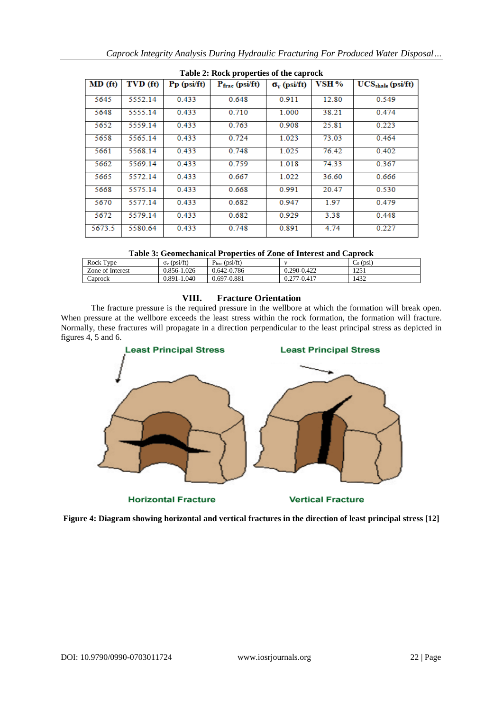| Table 2: Rock properties of the caprock |          |               |                                  |                           |       |                     |  |
|-----------------------------------------|----------|---------------|----------------------------------|---------------------------|-------|---------------------|--|
| MD(f <sub>f</sub> )                     | TVD (ft) | $Pp$ (psi/ft) | $P_{\text{frac}}(\text{psifft})$ | $\sigma_{\rm v}$ (psi/ft) | VSH % | $UCSshale$ (psi/ft) |  |
| 5645                                    | 5552.14  | 0.433         | 0.648                            | 0.911                     | 12.80 | 0.549               |  |
| 5648                                    | 5555.14  | 0.433         | 0.710                            | 1.000                     | 38.21 | 0.474               |  |
| 5652                                    | 5559.14  | 0.433         | 0.763                            | 0.908                     | 25.81 | 0.223               |  |
| 5658                                    | 5565.14  | 0.433         | 0.724                            | 1.023                     | 73.03 | 0.464               |  |
| 5661                                    | 5568.14  | 0.433         | 0.748                            | 1.025                     | 76.42 | 0.402               |  |
| 5662                                    | 5569.14  | 0.433         | 0.759                            | 1.018                     | 74.33 | 0.367               |  |
| 5665                                    | 5572.14  | 0.433         | 0.667                            | 1.022                     | 36.60 | 0.666               |  |
| 5668                                    | 5575.14  | 0.433         | 0.668                            | 0.991                     | 20.47 | 0.530               |  |
| 5670                                    | 5577.14  | 0.433         | 0.682                            | 0.947                     | 1.97  | 0.479               |  |
| 5672                                    | 5579.14  | 0.433         | 0.682                            | 0.929                     | 3.38  | 0.448               |  |
| 5673.5                                  | 5580.64  | 0.433         | 0.748                            | 0.891                     | 4.74  | 0.227               |  |

|  | Table 2: Rock properties of the caprock |  |
|--|-----------------------------------------|--|
|  |                                         |  |

| Table 3: Geomechanical Properties of Zone of Interest and Caprock |  |
|-------------------------------------------------------------------|--|
|-------------------------------------------------------------------|--|

| Rock Type        | (psi/ft)<br>$\sigma_{\rm v}$ | (psi/ft)<br>· trac |                     | $\sqrt{2}$<br>(DS1)<br>╰ |
|------------------|------------------------------|--------------------|---------------------|--------------------------|
| Zone of Interest | 0.856-1.026                  | 0.642-0.786        | 0.290-0.422         | 125<br>$1 \angle J_1$    |
| Caprock          | 0.891-1.040                  | 0.697-0.881        | .277-0.417<br>0.211 | 1432                     |

### **VIII. Fracture Orientation**

The fracture pressure is the required pressure in the wellbore at which the formation will break open. When pressure at the wellbore exceeds the least stress within the rock formation, the formation will fracture. Normally, these fractures will propagate in a direction perpendicular to the least principal stress as depicted in figures 4, 5 and 6.



**Figure 4: Diagram showing horizontal and vertical fractures in the direction of least principal stress [12]**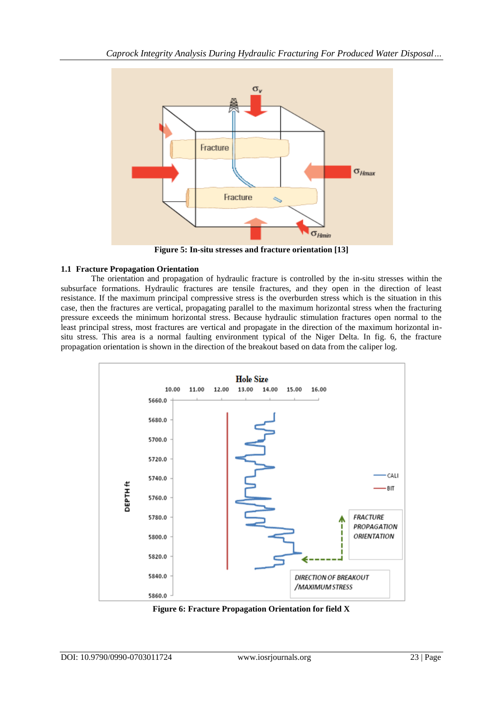

**Figure 5: In-situ stresses and fracture orientation [13]**

# **1.1 Fracture Propagation Orientation**

The orientation and propagation of hydraulic fracture is controlled by the in-situ stresses within the subsurface formations. Hydraulic fractures are tensile fractures, and they open in the direction of least resistance. If the maximum principal compressive stress is the overburden stress which is the situation in this case, then the fractures are vertical, propagating parallel to the maximum horizontal stress when the fracturing pressure exceeds the minimum horizontal stress. Because hydraulic stimulation fractures open normal to the least principal stress, most fractures are vertical and propagate in the direction of the maximum horizontal insitu stress. This area is a normal faulting environment typical of the Niger Delta. In fig. 6, the fracture propagation orientation is shown in the direction of the breakout based on data from the caliper log.



**Figure 6: Fracture Propagation Orientation for field X**